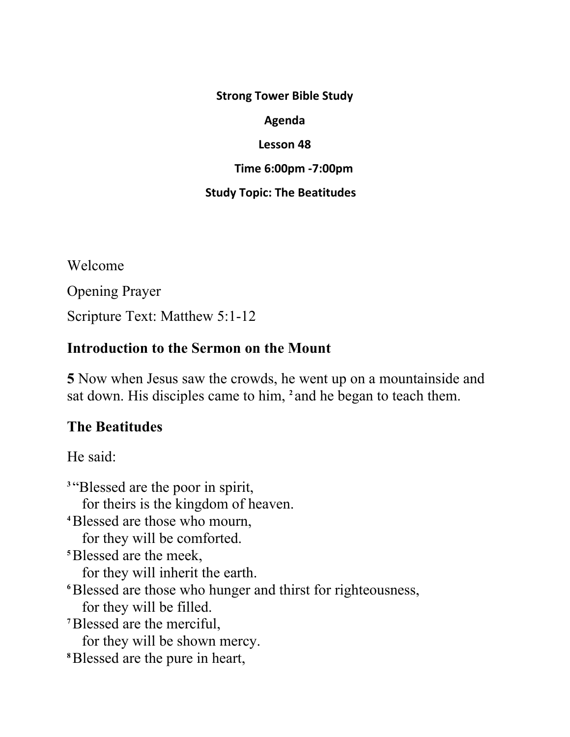**Strong Tower Bible Study**

#### **Agenda**

#### **Lesson 48**

#### **Time 6:00pm -7:00pm**

### **Study Topic: The Beatitudes**

Welcome Opening Prayer Scripture Text: Matthew 5:1-12

### **Introduction to the Sermon on the Mount**

**5** Now when Jesus saw the crowds, he went up on a mountainside and sat down. His disciples came to him, **2** and he began to teach them.

# **The Beatitudes**

He said:

<sup>3</sup>"Blessed are the poor in spirit, for theirs is the kingdom of heaven. **<sup>4</sup>**Blessed are those who mourn, for they will be comforted. **<sup>5</sup>**Blessed are the meek, for they will inherit the earth. **<sup>6</sup>**Blessed are those who hunger and thirst for righteousness, for they will be filled. **<sup>7</sup>**Blessed are the merciful, for they will be shown mercy. **8** Blessed are the pure in heart,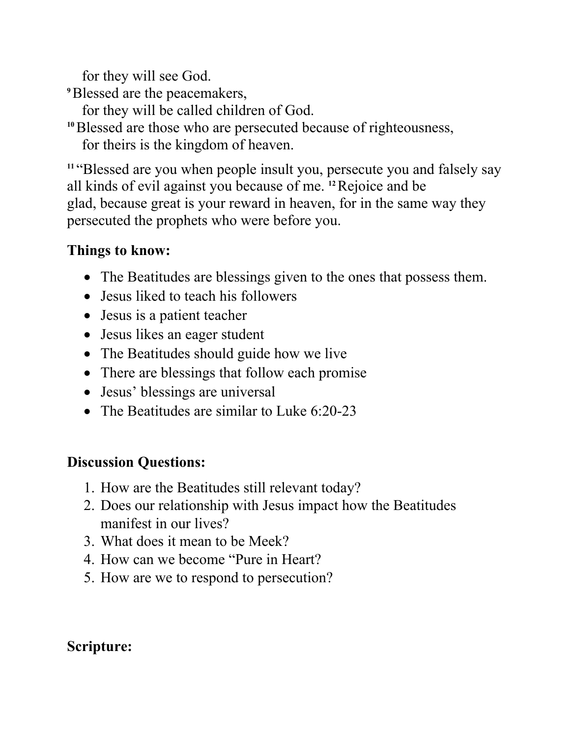for they will see God.

- **<sup>9</sup>**Blessed are the peacemakers,
	- for they will be called children of God.
- **<sup>10</sup>**Blessed are those who are persecuted because of righteousness, for theirs is the kingdom of heaven.

**<sup>11</sup>**"Blessed are you when people insult you, persecute you and falsely say all kinds of evil against you because of me. **12** Rejoice and be glad, because great is your reward in heaven, for in the same way they persecuted the prophets who were before you.

## **Things to know:**

- The Beatitudes are blessings given to the ones that possess them.
- Jesus liked to teach his followers
- Jesus is a patient teacher
- Jesus likes an eager student
- The Beatitudes should guide how we live
- There are blessings that follow each promise
- Jesus' blessings are universal
- The Beatitudes are similar to Luke 6:20-23

## **Discussion Questions:**

- 1. How are the Beatitudes still relevant today?
- 2. Does our relationship with Jesus impact how the Beatitudes manifest in our lives?
- 3. What does it mean to be Meek?
- 4. How can we become "Pure in Heart?
- 5. How are we to respond to persecution?

## **Scripture:**